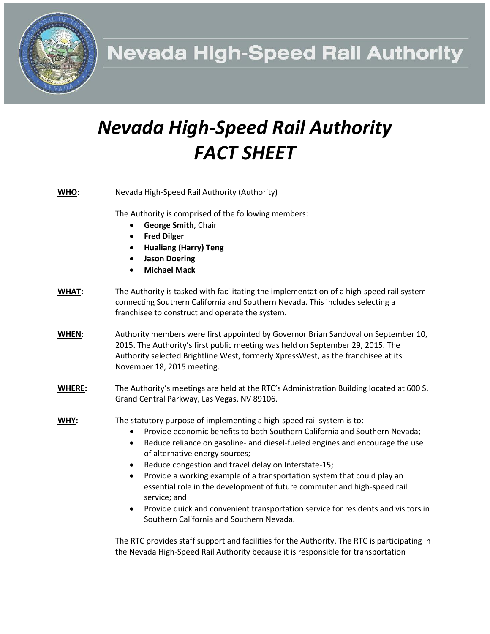**Nevada High-Speed Rail Authority** 

## *Nevada High-Speed Rail Authority FACT SHEET*

| WHO:          | Nevada High-Speed Rail Authority (Authority)                                                                                                                                                                                                                                                                                                                                                                                                                                                                                                                                                                                                                      |
|---------------|-------------------------------------------------------------------------------------------------------------------------------------------------------------------------------------------------------------------------------------------------------------------------------------------------------------------------------------------------------------------------------------------------------------------------------------------------------------------------------------------------------------------------------------------------------------------------------------------------------------------------------------------------------------------|
|               | The Authority is comprised of the following members:<br>George Smith, Chair<br><b>Fred Dilger</b><br>$\bullet$<br><b>Hualiang (Harry) Teng</b><br><b>Jason Doering</b><br><b>Michael Mack</b><br>$\bullet$                                                                                                                                                                                                                                                                                                                                                                                                                                                        |
| <b>WHAT:</b>  | The Authority is tasked with facilitating the implementation of a high-speed rail system<br>connecting Southern California and Southern Nevada. This includes selecting a<br>franchisee to construct and operate the system.                                                                                                                                                                                                                                                                                                                                                                                                                                      |
| WHEN:         | Authority members were first appointed by Governor Brian Sandoval on September 10,<br>2015. The Authority's first public meeting was held on September 29, 2015. The<br>Authority selected Brightline West, formerly XpressWest, as the franchisee at its<br>November 18, 2015 meeting.                                                                                                                                                                                                                                                                                                                                                                           |
| <b>WHERE:</b> | The Authority's meetings are held at the RTC's Administration Building located at 600 S.<br>Grand Central Parkway, Las Vegas, NV 89106.                                                                                                                                                                                                                                                                                                                                                                                                                                                                                                                           |
| WHY:          | The statutory purpose of implementing a high-speed rail system is to:<br>Provide economic benefits to both Southern California and Southern Nevada;<br>Reduce reliance on gasoline- and diesel-fueled engines and encourage the use<br>٠<br>of alternative energy sources;<br>Reduce congestion and travel delay on Interstate-15;<br>٠<br>Provide a working example of a transportation system that could play an<br>$\bullet$<br>essential role in the development of future commuter and high-speed rail<br>service; and<br>Provide quick and convenient transportation service for residents and visitors in<br>٠<br>Southern California and Southern Nevada. |

The RTC provides staff support and facilities for the Authority. The RTC is participating in the Nevada High-Speed Rail Authority because it is responsible for transportation